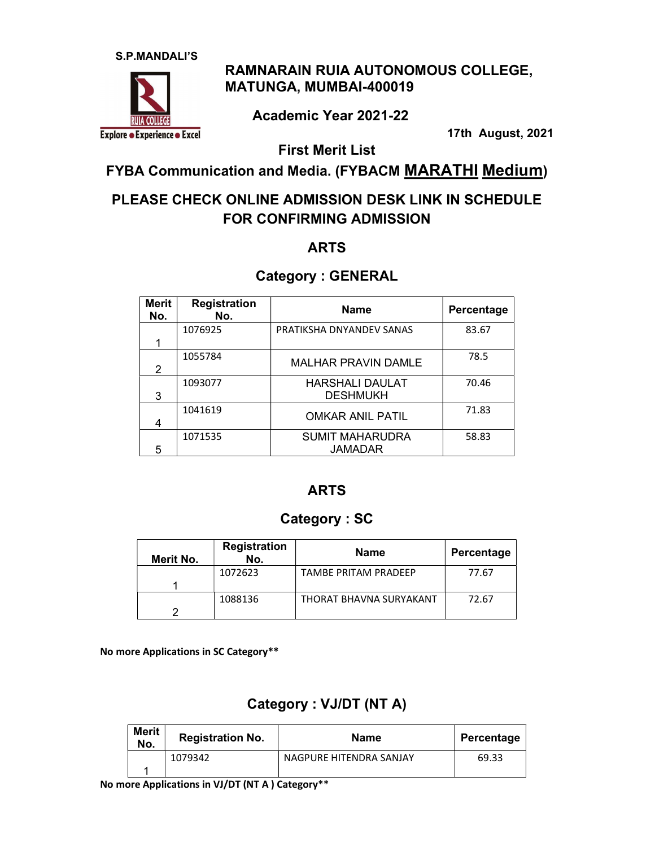

# RAMNARAIN RUIA AUTONOMOUS COLLEGE, MATUNGA, MUMBAI-400019

Academic Year 2021-22

17th August, 2021

First Merit List

FYBA Communication and Media. (FYBACM MARATHI Medium)

# PLEASE CHECK ONLINE ADMISSION DESK LINK IN SCHEDULE FOR CONFIRMING ADMISSION

### ARTS

### Category : GENERAL

| <b>Merit</b><br>No. | <b>Registration</b><br>No. | <b>Name</b>                               | Percentage |
|---------------------|----------------------------|-------------------------------------------|------------|
|                     | 1076925                    | PRATIKSHA DNYANDEV SANAS                  | 83.67      |
| 2                   | 1055784                    | <b>MALHAR PRAVIN DAMLE</b>                | 78.5       |
| 3                   | 1093077                    | <b>HARSHALI DAULAT</b><br><b>DESHMUKH</b> | 70.46      |
|                     | 1041619                    | <b>OMKAR ANIL PATIL</b>                   | 71.83      |
| 5                   | 1071535                    | <b>SUMIT MAHARUDRA</b><br><b>JAMADAR</b>  | 58.83      |

#### ARTS

### Category : SC

| Merit No. | <b>Registration</b><br>No. | <b>Name</b>             | Percentage |
|-----------|----------------------------|-------------------------|------------|
|           | 1072623                    | TAMBE PRITAM PRADEFP    | 77.67      |
|           | 1088136                    | THORAT BHAVNA SURYAKANT | 72.67      |

No more Applications in SC Category\*\*

# Category : VJ/DT (NT A)

| Merit<br>No. | <b>Registration No.</b> | Name                    | Percentage |
|--------------|-------------------------|-------------------------|------------|
|              | 1079342                 | NAGPURE HITENDRA SANJAY | 69.33      |

No more Applications in VJ/DT (NT A ) Category\*\*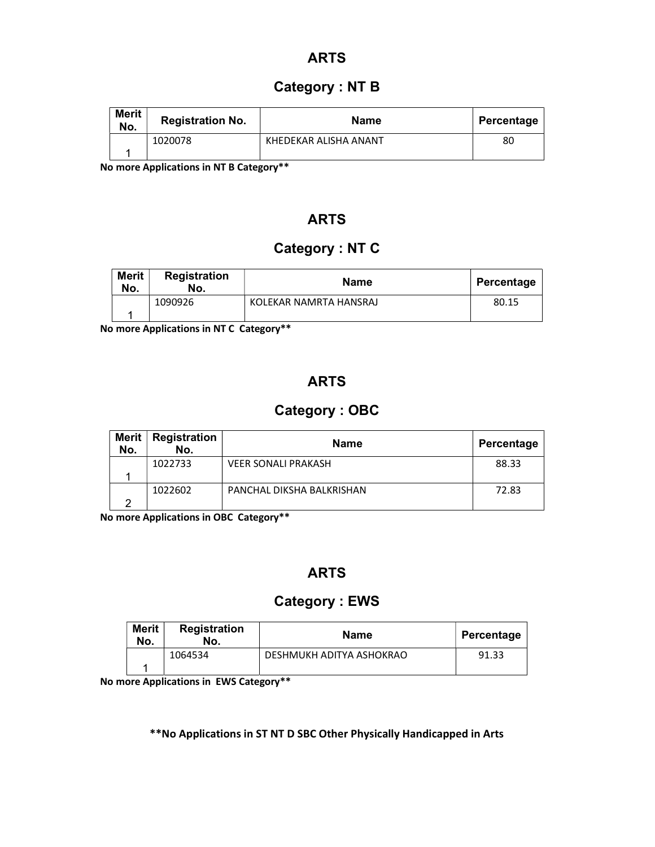#### ARTS

#### Category : NT B

| <b>Merit</b><br>No. | <b>Registration No.</b> | <b>Name</b>           | Percentage |
|---------------------|-------------------------|-----------------------|------------|
|                     | 1020078                 | KHEDEKAR ALISHA ANANT | 80         |

No more Applications in NT B Category\*\*

### ARTS

## Category : NT C

| <b>Merit</b><br>No. | <b>Registration</b><br>No. | <b>Name</b>            | Percentage |
|---------------------|----------------------------|------------------------|------------|
|                     | 1090926                    | KOLEKAR NAMRTA HANSRAJ | 80.15      |

No more Applications in NT C Category\*\*

### ARTS

### Category : OBC

| <b>Merit</b><br>No. | <b>Registration</b><br>No. | <b>Name</b>                | Percentage |
|---------------------|----------------------------|----------------------------|------------|
|                     | 1022733                    | <b>VEER SONALI PRAKASH</b> | 88.33      |
|                     |                            |                            |            |
|                     | 1022602                    | PANCHAL DIKSHA BALKRISHAN  | 72.83      |
|                     |                            |                            |            |

No more Applications in OBC Category\*\*

### ARTS

### Category : EWS

| <b>Merit</b><br>No. | <b>Registration</b><br>No. | <b>Name</b>              | Percentage |
|---------------------|----------------------------|--------------------------|------------|
|                     | 1064534                    | DESHMUKH ADITYA ASHOKRAO | 91.33      |

No more Applications in EWS Category\*\*

\*\*No Applications in ST NT D SBC Other Physically Handicapped in Arts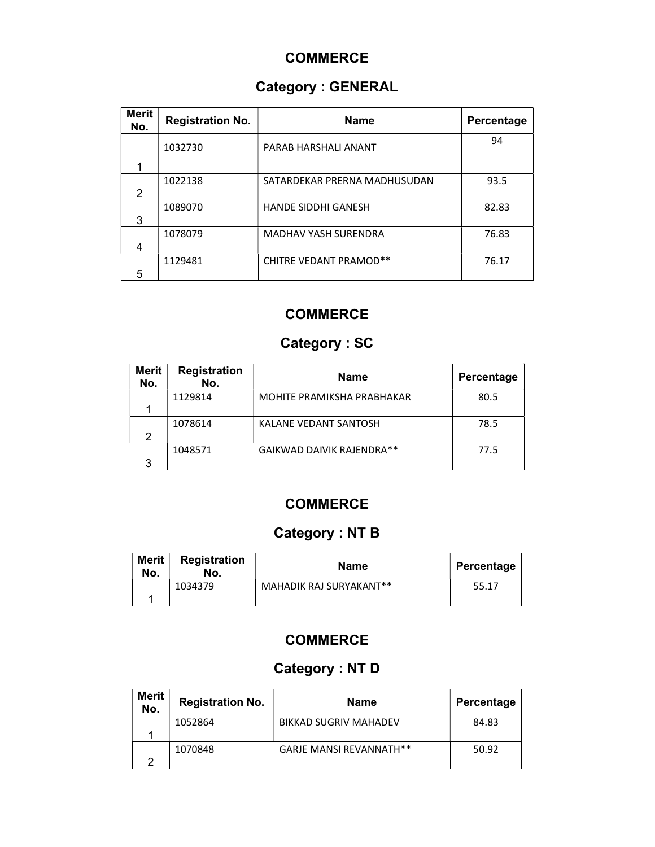### **COMMERCE**

# Category : GENERAL

| <b>Merit</b><br>No. | <b>Registration No.</b> | <b>Name</b>                   | Percentage |
|---------------------|-------------------------|-------------------------------|------------|
|                     | 1032730                 | PARAB HARSHALI ANANT          | 94         |
|                     |                         |                               |            |
|                     | 1022138                 | SATARDEKAR PRERNA MADHUSUDAN  | 93.5       |
| 2                   |                         |                               |            |
|                     | 1089070                 | <b>HANDE SIDDHI GANESH</b>    | 82.83      |
| 3                   |                         |                               |            |
|                     | 1078079                 | <b>MADHAV YASH SURENDRA</b>   | 76.83      |
| 4                   |                         |                               |            |
|                     | 1129481                 | <b>CHITRE VEDANT PRAMOD**</b> | 76.17      |
| 5                   |                         |                               |            |

# **COMMERCE**

# Category : SC

| <b>Merit</b><br>No. | <b>Registration</b><br>No. | <b>Name</b>                | Percentage |
|---------------------|----------------------------|----------------------------|------------|
|                     | 1129814                    | MOHITE PRAMIKSHA PRABHAKAR | 80.5       |
|                     |                            |                            |            |
|                     | 1078614                    | KALANE VEDANT SANTOSH      | 78.5       |
| 2                   |                            |                            |            |
|                     | 1048571                    | GAIKWAD DAIVIK RAJENDRA**  | 77.5       |
| 3                   |                            |                            |            |

# **COMMERCE**

# Category : NT B

| <b>Merit</b><br>No. | <b>Registration</b><br>No. | <b>Name</b>             | Percentage |
|---------------------|----------------------------|-------------------------|------------|
|                     | 1034379                    | MAHADIK RAJ SURYAKANT** | 55.17      |

### **COMMERCE**

# Category : NT D

| <b>Merit</b><br>No. | <b>Registration No.</b> | <b>Name</b>                    | Percentage |
|---------------------|-------------------------|--------------------------------|------------|
|                     | 1052864                 | <b>BIKKAD SUGRIV MAHADEV</b>   | 84.83      |
|                     |                         |                                |            |
|                     | 1070848                 | <b>GARJE MANSI REVANNATH**</b> | 50.92      |
| ⌒                   |                         |                                |            |